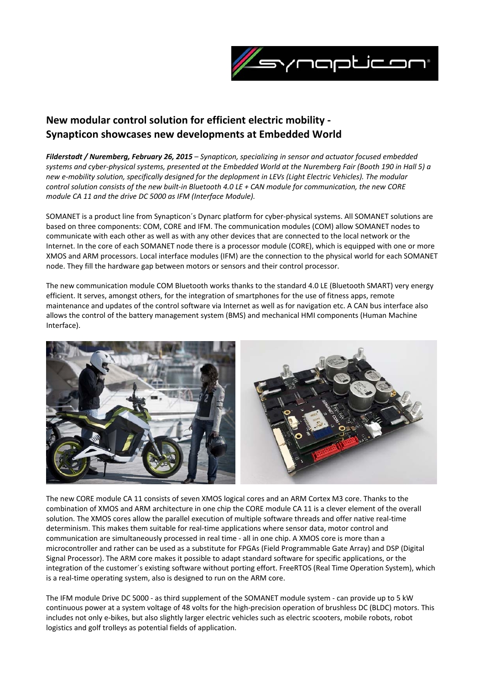

## **New modular control solution for efficient electric mobility ‐ Synapticon showcases new developments at Embedded World**

*Filderstadt / Nuremberg, February 26, 2015 – Synapticon, specializing in sensor and actuator focused embedded* systems and cyber-physical systems, presented at the Embedded World at the Nuremberg Fair (Booth 190 in Hall 5) a new e-mobility solution, specifically designed for the deplopment in LEVs (Light Electric Vehicles). The modular control solution consists of the new built-in Bluetooth 4.0 LE + CAN module for communication, the new CORE *module CA 11 and the drive DC 5000 as IFM (Interface Module).*

SOMANET is a product line from Synapticon´s Dynarc platform for cyber‐physical systems. All SOMANET solutions are based on three components: COM, CORE and IFM. The communication modules (COM) allow SOMANET nodes to communicate with each other as well as with any other devices that are connected to the local network or the Internet. In the core of each SOMANET node there is a processor module (CORE), which is equipped with one or more XMOS and ARM processors. Local interface modules (IFM) are the connection to the physical world for each SOMANET node. They fill the hardware gap between motors or sensors and their control processor.

The new communication module COM Bluetooth works thanks to the standard 4.0 LE (Bluetooth SMART) very energy efficient. It serves, amongst others, for the integration of smartphones for the use of fitness apps, remote maintenance and updates of the control software via Internet as well as for navigation etc. A CAN bus interface also allows the control of the battery management system (BMS) and mechanical HMI components (Human Machine Interface).



The new CORE module CA 11 consists of seven XMOS logical cores and an ARM Cortex M3 core. Thanks to the combination of XMOS and ARM architecture in one chip the CORE module CA 11 is a clever element of the overall solution. The XMOS cores allow the parallel execution of multiple software threads and offer native real‐time determinism. This makes them suitable for real‐time applications where sensor data, motor control and communication are simultaneously processed in real time ‐ all in one chip. A XMOS core is more than a microcontroller and rather can be used as a substitute for FPGAs (Field Programmable Gate Array) and DSP (Digital Signal Processor). The ARM core makes it possible to adapt standard software for specific applications, or the integration of the customer´s existing software without porting effort. FreeRTOS (Real Time Operation System), which is a real-time operating system, also is designed to run on the ARM core.

The IFM module Drive DC 5000 ‐ as third supplement of the SOMANET module system ‐ can provide up to 5 kW continuous power at a system voltage of 48 volts for the high-precision operation of brushless DC (BLDC) motors. This includes not only e‐bikes, but also slightly larger electric vehicles such as electric scooters, mobile robots, robot logistics and golf trolleys as potential fields of application.